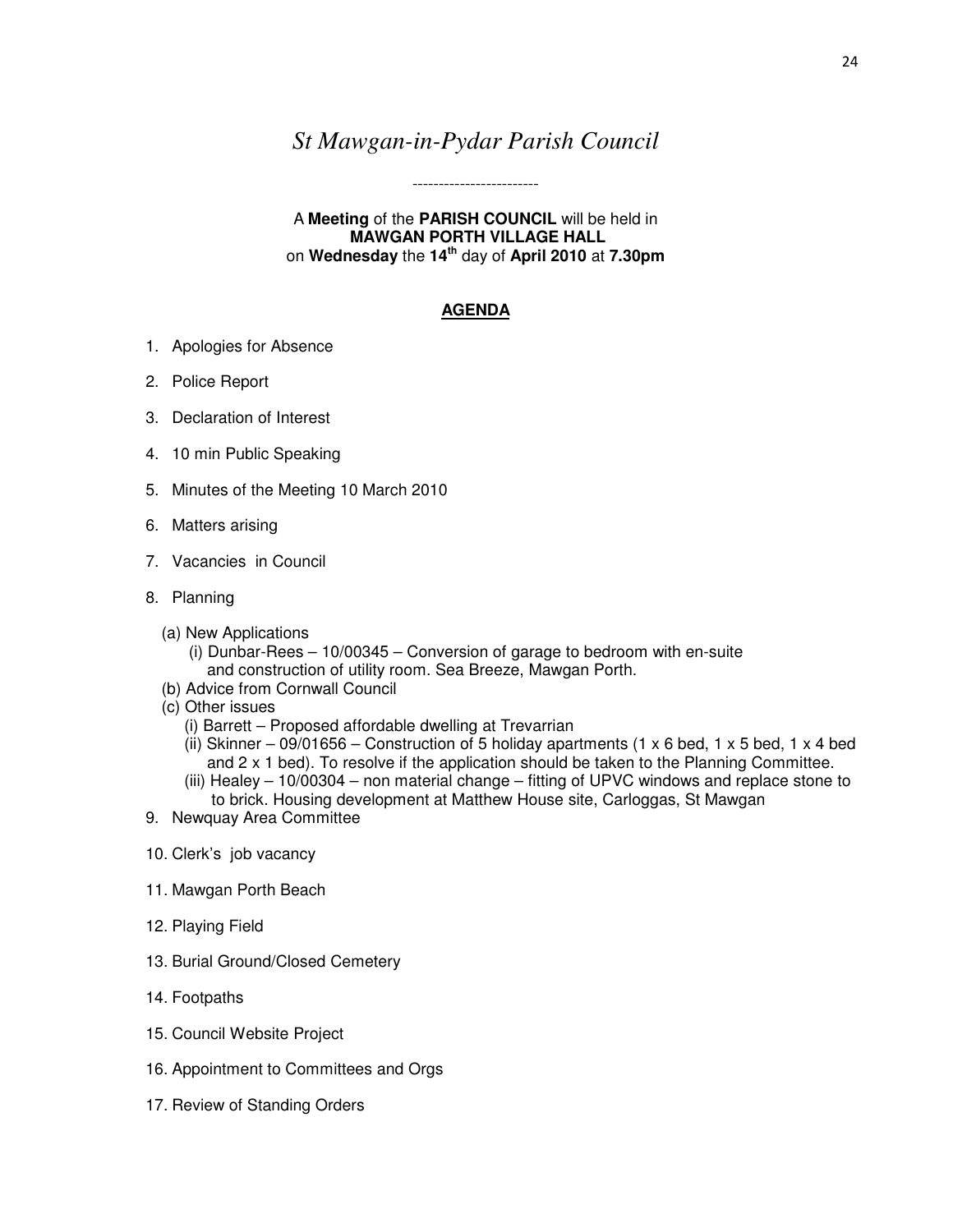## *St Mawgan-in-Pydar Parish Council*

------------------------

A **Meeting** of the **PARISH COUNCIL** will be held in  **MAWGAN PORTH VILLAGE HALL**  on **Wednesday** the **14th** day of **April 2010** at **7.30pm** 

## **AGENDA**

- 1. Apologies for Absence
- 2. Police Report
- 3. Declaration of Interest
- 4. 10 min Public Speaking
- 5. Minutes of the Meeting 10 March 2010
- 6. Matters arising
- 7. Vacancies in Council
- 8. Planning
	- (a) New Applications
		- (i) Dunbar-Rees 10/00345 Conversion of garage to bedroom with en-suite and construction of utility room. Sea Breeze, Mawgan Porth.
	- (b) Advice from Cornwall Council
	- (c) Other issues
		- (i) Barrett Proposed affordable dwelling at Trevarrian
		- (ii) Skinner 09/01656 Construction of 5 holiday apartments (1 x 6 bed, 1 x 5 bed, 1 x 4 bed and 2 x 1 bed). To resolve if the application should be taken to the Planning Committee.
		- (iii) Healey 10/00304 non material change fitting of UPVC windows and replace stone to to brick. Housing development at Matthew House site, Carloggas, St Mawgan
- 9. Newquay Area Committee
- 10. Clerk's job vacancy
- 11. Mawgan Porth Beach
- 12. Playing Field
- 13. Burial Ground/Closed Cemetery
- 14. Footpaths
- 15. Council Website Project
- 16. Appointment to Committees and Orgs
- 17. Review of Standing Orders